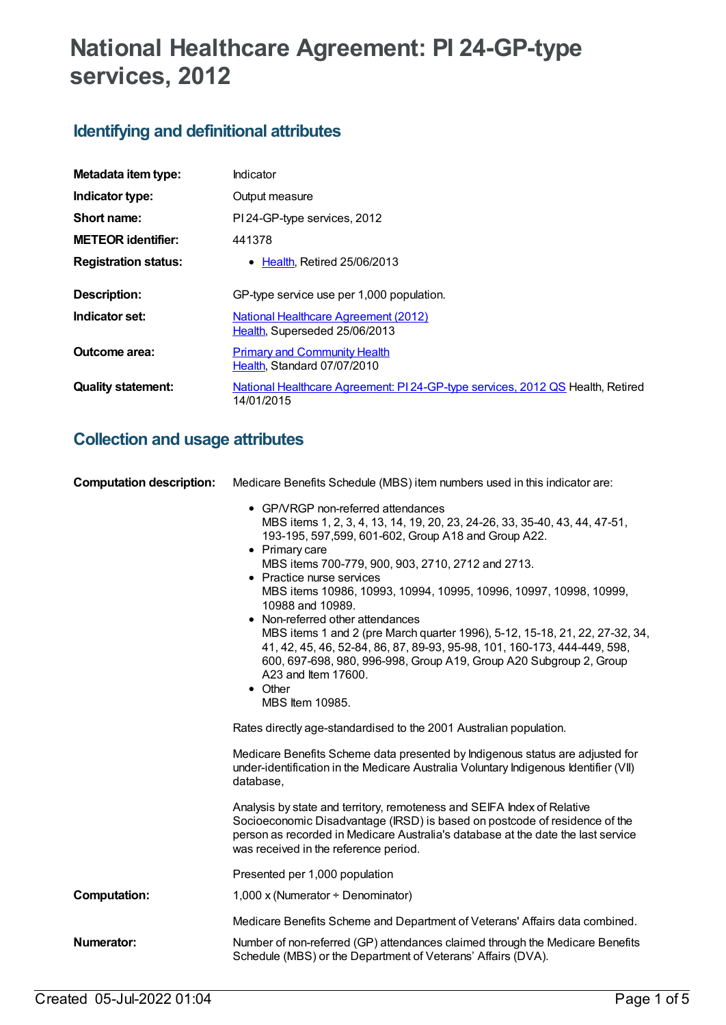# **National Healthcare Agreement: PI 24-GP-type services, 2012**

## **Identifying and definitional attributes**

| Metadata item type:         | Indicator                                                                                    |  |
|-----------------------------|----------------------------------------------------------------------------------------------|--|
| Indicator type:             | Output measure                                                                               |  |
| Short name:                 | PI 24-GP-type services, 2012                                                                 |  |
| <b>METEOR</b> identifier:   | 441378                                                                                       |  |
| <b>Registration status:</b> | • Health, Retired 25/06/2013                                                                 |  |
| Description:                | GP-type service use per 1,000 population.                                                    |  |
| Indicator set:              | National Healthcare Agreement (2012)<br>Health, Superseded 25/06/2013                        |  |
| Outcome area:               | <b>Primary and Community Health</b><br>Health, Standard 07/07/2010                           |  |
| <b>Quality statement:</b>   | National Healthcare Agreement: PI 24-GP-type services, 2012 QS Health, Retired<br>14/01/2015 |  |

## **Collection and usage attributes**

| <b>Computation description:</b> | Medicare Benefits Schedule (MBS) item numbers used in this indicator are:                                                                                                                                                                                                                                                                                                                                                                                                                                                                                                                                                                                                                       |  |
|---------------------------------|-------------------------------------------------------------------------------------------------------------------------------------------------------------------------------------------------------------------------------------------------------------------------------------------------------------------------------------------------------------------------------------------------------------------------------------------------------------------------------------------------------------------------------------------------------------------------------------------------------------------------------------------------------------------------------------------------|--|
|                                 | • GP/VRGP non-referred attendances<br>MBS items 1, 2, 3, 4, 13, 14, 19, 20, 23, 24-26, 33, 35-40, 43, 44, 47-51,<br>193-195, 597, 599, 601-602, Group A18 and Group A22.<br>• Primary care<br>MBS items 700-779, 900, 903, 2710, 2712 and 2713.<br>• Practice nurse services<br>MBS items 10986, 10993, 10994, 10995, 10996, 10997, 10998, 10999,<br>10988 and 10989.<br>• Non-referred other attendances<br>MBS items 1 and 2 (pre March quarter 1996), 5-12, 15-18, 21, 22, 27-32, 34,<br>41, 42, 45, 46, 52-84, 86, 87, 89-93, 95-98, 101, 160-173, 444-449, 598,<br>600, 697-698, 980, 996-998, Group A19, Group A20 Subgroup 2, Group<br>A23 and Item 17600.<br>• Other<br>MBS Item 10985. |  |
|                                 | Rates directly age-standardised to the 2001 Australian population.                                                                                                                                                                                                                                                                                                                                                                                                                                                                                                                                                                                                                              |  |
|                                 | Medicare Benefits Scheme data presented by Indigenous status are adjusted for<br>under-identification in the Medicare Australia Voluntary Indigenous Identifier (VII)<br>database,                                                                                                                                                                                                                                                                                                                                                                                                                                                                                                              |  |
|                                 | Analysis by state and territory, remoteness and SEIFA Index of Relative<br>Socioeconomic Disadvantage (IRSD) is based on postcode of residence of the<br>person as recorded in Medicare Australia's database at the date the last service<br>was received in the reference period.                                                                                                                                                                                                                                                                                                                                                                                                              |  |
|                                 | Presented per 1,000 population                                                                                                                                                                                                                                                                                                                                                                                                                                                                                                                                                                                                                                                                  |  |
| <b>Computation:</b>             | 1,000 x (Numerator $\div$ Denominator)                                                                                                                                                                                                                                                                                                                                                                                                                                                                                                                                                                                                                                                          |  |
|                                 | Medicare Benefits Scheme and Department of Veterans' Affairs data combined.                                                                                                                                                                                                                                                                                                                                                                                                                                                                                                                                                                                                                     |  |
| Numerator:                      | Number of non-referred (GP) attendances claimed through the Medicare Benefits<br>Schedule (MBS) or the Department of Veterans' Affairs (DVA).                                                                                                                                                                                                                                                                                                                                                                                                                                                                                                                                                   |  |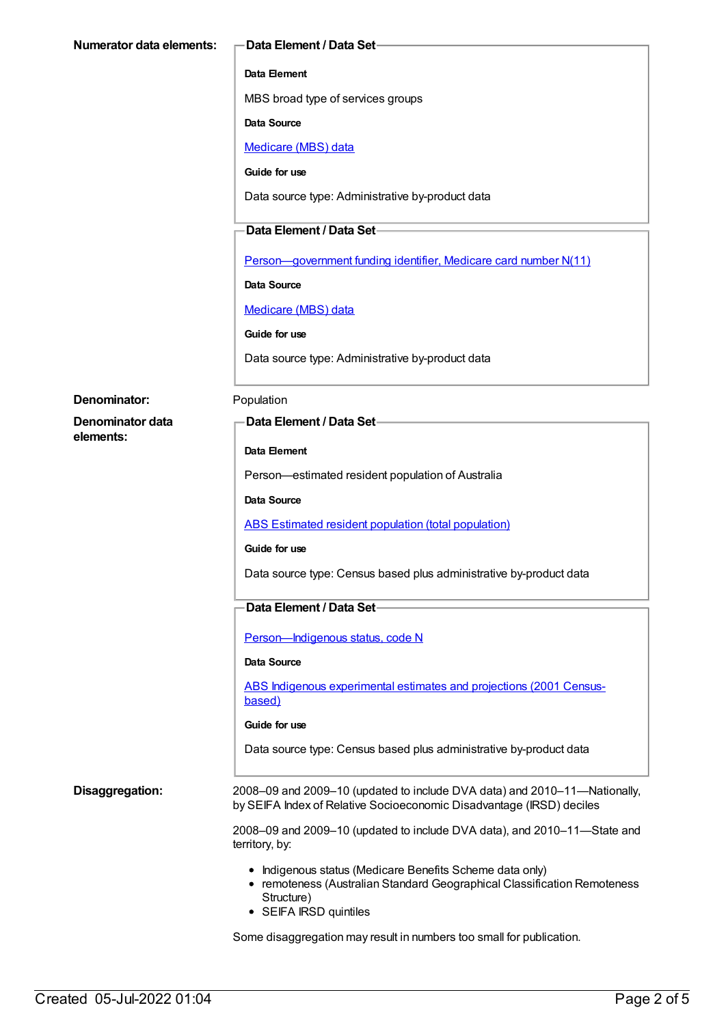| <b>Numerator data elements:</b> | Data Element / Data Set-                                                                                                                                                     |
|---------------------------------|------------------------------------------------------------------------------------------------------------------------------------------------------------------------------|
|                                 | Data Element                                                                                                                                                                 |
|                                 | MBS broad type of services groups                                                                                                                                            |
|                                 | Data Source                                                                                                                                                                  |
|                                 | Medicare (MBS) data                                                                                                                                                          |
|                                 | Guide for use                                                                                                                                                                |
|                                 | Data source type: Administrative by-product data                                                                                                                             |
|                                 | Data Element / Data Set-                                                                                                                                                     |
|                                 | Person-government funding identifier, Medicare card number N(11)                                                                                                             |
|                                 | <b>Data Source</b>                                                                                                                                                           |
|                                 | <b>Medicare (MBS) data</b>                                                                                                                                                   |
|                                 | Guide for use                                                                                                                                                                |
|                                 | Data source type: Administrative by-product data                                                                                                                             |
| Denominator:                    | Population                                                                                                                                                                   |
| Denominator data                | <b>Data Element / Data Set-</b>                                                                                                                                              |
| elements:                       |                                                                                                                                                                              |
|                                 | Data Element                                                                                                                                                                 |
|                                 | Person-estimated resident population of Australia                                                                                                                            |
|                                 | <b>Data Source</b>                                                                                                                                                           |
|                                 | <b>ABS Estimated resident population (total population)</b>                                                                                                                  |
|                                 | Guide for use                                                                                                                                                                |
|                                 | Data source type: Census based plus administrative by-product data                                                                                                           |
|                                 | Data Element / Data Set-                                                                                                                                                     |
|                                 | Person-Indigenous status, code N                                                                                                                                             |
|                                 | Data Source                                                                                                                                                                  |
|                                 | ABS Indigenous experimental estimates and projections (2001 Census-<br>based)                                                                                                |
|                                 | Guide for use                                                                                                                                                                |
|                                 | Data source type: Census based plus administrative by-product data                                                                                                           |
| Disaggregation:                 | 2008–09 and 2009–10 (updated to include DVA data) and 2010–11—Nationally,<br>by SEIFA Index of Relative Socioeconomic Disadvantage (IRSD) deciles                            |
|                                 | 2008-09 and 2009-10 (updated to include DVA data), and 2010-11-State and<br>territory, by:                                                                                   |
|                                 | • Indigenous status (Medicare Benefits Scheme data only)<br>• remoteness (Australian Standard Geographical Classification Remoteness<br>Structure)<br>• SEIFA IRSD quintiles |
|                                 | Some disaggregation may result in numbers too small for publication.                                                                                                         |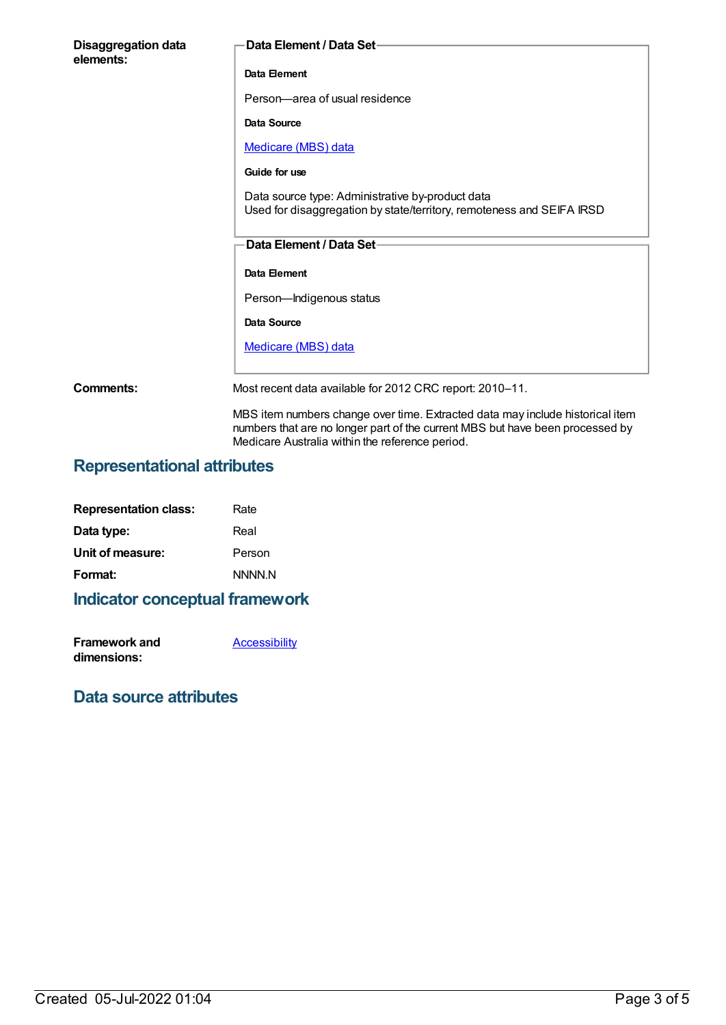| <b>Disaggregation data</b><br>elements: | Data Element / Data Set-                                                                                                                                       |
|-----------------------------------------|----------------------------------------------------------------------------------------------------------------------------------------------------------------|
|                                         | Data Element                                                                                                                                                   |
|                                         | Person-area of usual residence                                                                                                                                 |
|                                         | Data Source                                                                                                                                                    |
|                                         | Medicare (MBS) data                                                                                                                                            |
|                                         | Guide for use                                                                                                                                                  |
|                                         | Data source type: Administrative by-product data<br>Used for disaggregation by state/territory, remoteness and SEIFA IRSD                                      |
|                                         | <b>Data Element / Data Set-</b>                                                                                                                                |
|                                         | Data Element                                                                                                                                                   |
|                                         | Person-Indigenous status                                                                                                                                       |
|                                         | Data Source                                                                                                                                                    |
|                                         | Medicare (MBS) data                                                                                                                                            |
|                                         |                                                                                                                                                                |
| Comments:                               | Most recent data available for 2012 CRC report: 2010-11.                                                                                                       |
|                                         | MBS item numbers change over time. Extracted data may include historical item<br>numbers that are no longer part of the current MBS but have been processed by |

Medicare Australia within the reference period.

### **Representational attributes**

| Rate   |
|--------|
| Real   |
| Person |
| NNNN N |
|        |

## **Indicator conceptual framework**

| Framework and | <b>Accessibility</b> |
|---------------|----------------------|
| dimensions:   |                      |

### **Data source attributes**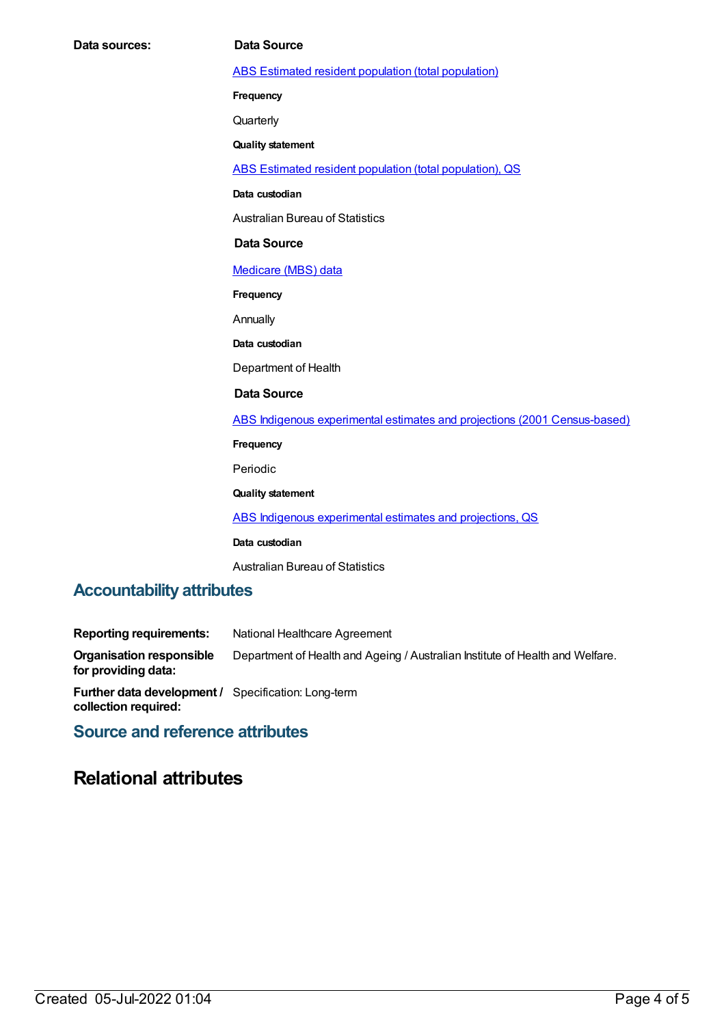ABS Estimated resident population (total [population\)](https://meteor.aihw.gov.au/content/393625)

**Frequency**

**Quarterly** 

**Quality statement**

ABS Estimated resident population (total [population\),](https://meteor.aihw.gov.au/content/449216) QS

**Data custodian**

Australian Bureau of Statistics

#### **Data Source**

[Medicare](https://meteor.aihw.gov.au/content/394305) (MBS) data

**Frequency**

Annually

**Data custodian**

Department of Health

#### **Data Source**

ABS Indigenous experimental estimates and projections (2001 [Census-based\)](https://meteor.aihw.gov.au/content/394092)

**Frequency**

Periodic

**Quality statement**

ABS Indigenous [experimental](https://meteor.aihw.gov.au/content/449223) estimates and projections, QS

**Data custodian**

Australian Bureau of Statistics

#### **Accountability attributes**

| <b>Reporting requirements:</b>                                                     | National Healthcare Agreement                                                 |
|------------------------------------------------------------------------------------|-------------------------------------------------------------------------------|
| <b>Organisation responsible</b><br>for providing data:                             | Department of Health and Ageing / Australian Institute of Health and Welfare. |
| <b>Further data development / Specification: Long-term</b><br>collection required: |                                                                               |

#### **Source and reference attributes**

### **Relational attributes**